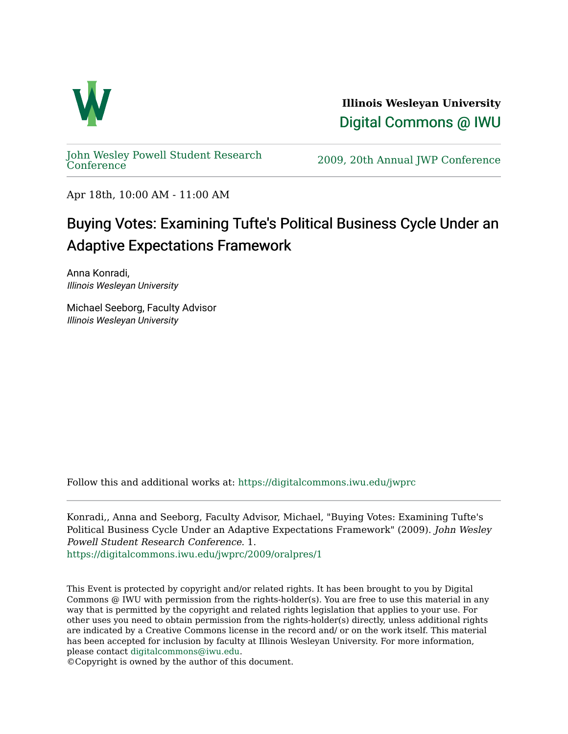

**Illinois Wesleyan University**  [Digital Commons @ IWU](https://digitalcommons.iwu.edu/) 

[John Wesley Powell Student Research](https://digitalcommons.iwu.edu/jwprc) 

2009, 20th Annual JWP [Conference](https://digitalcommons.iwu.edu/jwprc)

Apr 18th, 10:00 AM - 11:00 AM

## Buying Votes: Examining Tufte's Political Business Cycle Under an Adaptive Expectations Framework

Anna Konradi, Illinois Wesleyan University

Michael Seeborg, Faculty Advisor Illinois Wesleyan University

Follow this and additional works at: [https://digitalcommons.iwu.edu/jwprc](https://digitalcommons.iwu.edu/jwprc?utm_source=digitalcommons.iwu.edu%2Fjwprc%2F2009%2Foralpres%2F1&utm_medium=PDF&utm_campaign=PDFCoverPages) 

Konradi,, Anna and Seeborg, Faculty Advisor, Michael, "Buying Votes: Examining Tufte's Political Business Cycle Under an Adaptive Expectations Framework" (2009). John Wesley Powell Student Research Conference. 1. [https://digitalcommons.iwu.edu/jwprc/2009/oralpres/1](https://digitalcommons.iwu.edu/jwprc/2009/oralpres/1?utm_source=digitalcommons.iwu.edu%2Fjwprc%2F2009%2Foralpres%2F1&utm_medium=PDF&utm_campaign=PDFCoverPages) 

This Event is protected by copyright and/or related rights. It has been brought to you by Digital Commons @ IWU with permission from the rights-holder(s). You are free to use this material in any way that is permitted by the copyright and related rights legislation that applies to your use. For other uses you need to obtain permission from the rights-holder(s) directly, unless additional rights are indicated by a Creative Commons license in the record and/ or on the work itself. This material has been accepted for inclusion by faculty at Illinois Wesleyan University. For more information, please contact [digitalcommons@iwu.edu.](mailto:digitalcommons@iwu.edu)

©Copyright is owned by the author of this document.